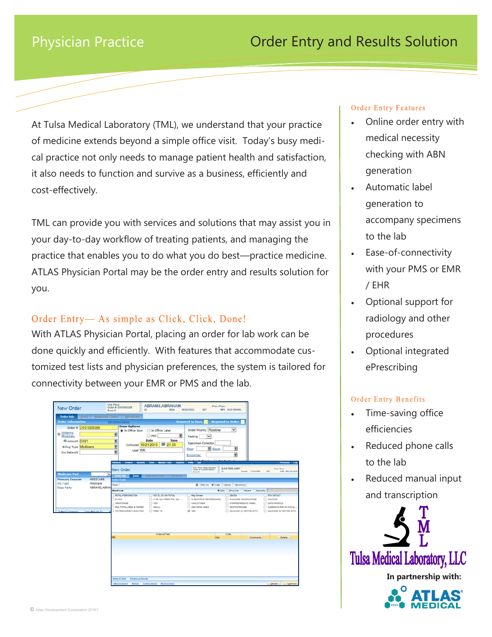# Physician Practice

At Tulsa Medical Laboratory (TML), we understand that your practice of medicine extends beyond a simple office visit. Today's busy medical practice not only needs to manage patient health and satisfaction, it also needs to function and survive as a business, efficiently and cost-effectively.

TML can provide you with services and solutions that may assist you in your day-to-day workflow of treating patients, and managing the practice that enables you to do what you do best—practice medicine. ATLAS Physician Portal may be the order entry and results solution for you.

# Order Entry— As simple as Click, Click, Done!

With ATLAS Physician Portal, placing an order for lab work can be done quickly and efficiently. With features that accommodate customized test lists and physician preferences, the system is tailored for connectivity between your EMR or PMS and the lab.

| <b>New Order</b>                                              | Ord. Phys:<br>Order #: D101005388<br>Accn #:                                                              | <b>ABRAMS, ABRAHAM</b><br>ID:<br>Male                                                   | Prim, Phys:<br>06/23/1933<br>82Y<br>MPI: 1431100000.                         |                                                                                                       |                                                                                                         |  |  |  |  |
|---------------------------------------------------------------|-----------------------------------------------------------------------------------------------------------|-----------------------------------------------------------------------------------------|------------------------------------------------------------------------------|-------------------------------------------------------------------------------------------------------|---------------------------------------------------------------------------------------------------------|--|--|--|--|
| Order Info                                                    | Tests   Diagnosis Codes   Questions                                                                       |                                                                                         |                                                                              |                                                                                                       |                                                                                                         |  |  |  |  |
| <b>Order Information</b>                                      | Edit Patient Detail                                                                                       |                                                                                         | <b>Required to Save</b>                                                      | <b>Required to Order</b>                                                                              |                                                                                                         |  |  |  |  |
| Order # D101005388<br>& Ordering<br>Physician<br>Account D101 | <b>Draw Options</b><br>In Office Now<br>¥<br>«                                                            | ○ In Office Later<br>¥<br>OPSC<br>Date<br>Time                                          | Order Priority Routine<br>$\checkmark$<br>Fasting                            | $\checkmark$                                                                                          |                                                                                                         |  |  |  |  |
| <b>Billing Type Medicare</b>                                  | x                                                                                                         | 21:53<br>Collected 10/21/2015                                                           | Specimen Collector                                                           |                                                                                                       |                                                                                                         |  |  |  |  |
| Ins Network                                                   | User RR<br>¥                                                                                              |                                                                                         | <b>¥</b> Room<br>Floor                                                       | ¥                                                                                                     |                                                                                                         |  |  |  |  |
|                                                               |                                                                                                           |                                                                                         | Encounter                                                                    | ¥                                                                                                     |                                                                                                         |  |  |  |  |
|                                                               | <b>Critery</b><br><b><i>PERSONAL</i></b>                                                                  | <b>Maxier Files</b><br><b>TENSIS</b>                                                    | of Calibacks II Cat Eashack                                                  |                                                                                                       |                                                                                                         |  |  |  |  |
| <b>Medicare Part</b><br>MEDICARE<br><b>Primary Insurer</b>    | New Order<br>$\checkmark$<br><b>Tests</b><br>Center Indo<br><b>Index Tests</b>                            | Depress Lobs - Daniel                                                                   | Ord Phys: Kelly Barbara<br>Order & COOBS/19002<br>e.<br>Acce #               | <b>EASTER AMY</b><br>Female 15141506                                                                  | <b>Prim, Phys:</b><br>15K 000-00-001E<br>267                                                            |  |  |  |  |
| Medicare<br>Ins Type                                          | Tests<br>ABRAMS, ABRAH                                                                                    | <b>M.</b> Filter by: WCode O Name O Heamonic                                            |                                                                              |                                                                                                       |                                                                                                         |  |  |  |  |
| <b>Resp Party</b>                                             | <b>Short List</b>                                                                                         | # Ste Othysidan O'Patient O'Specialty                                                   |                                                                              |                                                                                                       |                                                                                                         |  |  |  |  |
| Tubes/Containers<br>Copy Results To                           | <b>PETAL FIBRONECTIV</b><br>B HCG<br>CREATININE<br>PSA, TOTAL, FREE & N/REE<br>T4, FREE, DORECT DIALVISES | VIT D. 25 OH TOTAL<br>3 HR GLU PREG TOL (50<br>$T$ TSH<br><b>D</b> HbASE<br>$T$ ragg 14 | Pap Smear<br>C-REACTIVE PROTEIN(CRP)<br>CALCITONIN<br>CRP-HOGH SENS<br>₩ сво | $\Box$ CBC5D<br>ALKALINE PHOSPHATASE<br>COMPREHENSIVE PANEL<br>TESTOSTERONE<br>QUICOSE (1 HR FOR GTT) | <b>FIN INTACT</b><br>CALCIUM<br><b>LIPID PROFILE</b><br>SUREPATH PAP BY FOCAL<br>GLUCOSE (2 HR FOR GTT) |  |  |  |  |
|                                                               |                                                                                                           | <b>Ordered Test</b>                                                                     | CBC                                                                          | Code<br>Comments                                                                                      | Delete                                                                                                  |  |  |  |  |
|                                                               |                                                                                                           |                                                                                         |                                                                              |                                                                                                       |                                                                                                         |  |  |  |  |
|                                                               | Dalata Al Tauta<br><b>Downton of Services</b>                                                             | <b>Isles/Gramma MINOLD Forward fundry Mindre Hotels</b>                                 |                                                                              |                                                                                                       | Continue<br>Cancel:                                                                                     |  |  |  |  |

#### **Order Entry Features**

- Online order entry with medical necessity checking with ABN generation
- Automatic label generation to accompany specimens to the lab
- Ease-of-connectivity with your PMS or EMR / EHR
- Optional support for radiology and other procedures
- Optional integrated ePrescribing

#### Order Entry Benefits

- Time-saving office efficiencies
- Reduced phone calls to the lab
- Reduced manual input and transcription